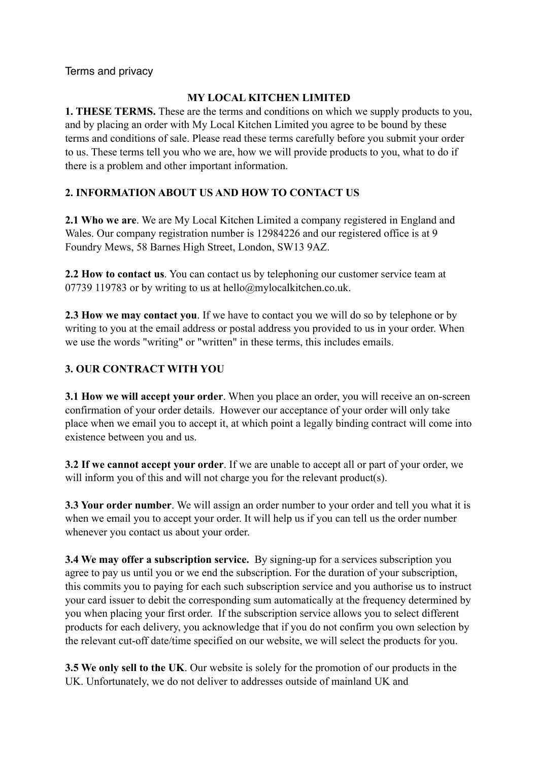Terms and privacy

## **MY LOCAL KITCHEN LIMITED**

**1. THESE TERMS.** These are the terms and conditions on which we supply products to you, and by placing an order with My Local Kitchen Limited you agree to be bound by these terms and conditions of sale. Please read these terms carefully before you submit your order to us. These terms tell you who we are, how we will provide products to you, what to do if there is a problem and other important information.

# **2. INFORMATION ABOUT US AND HOW TO CONTACT US**

**2.1 Who we are**. We are My Local Kitchen Limited a company registered in England and Wales. Our company registration number is 12984226 and our registered office is at 9 Foundry Mews, 58 Barnes High Street, London, SW13 9AZ.

**2.2 How to contact us**. You can contact us by telephoning our customer service team at 07739 119783 or by writing to us at hello@mylocalkitchen.co.uk.

**2.3 How we may contact you**. If we have to contact you we will do so by telephone or by writing to you at the email address or postal address you provided to us in your order. When we use the words "writing" or "written" in these terms, this includes emails.

## **3. OUR CONTRACT WITH YOU**

**3.1 How we will accept your order**. When you place an order, you will receive an on-screen confirmation of your order details. However our acceptance of your order will only take place when we email you to accept it, at which point a legally binding contract will come into existence between you and us.

**3.2 If we cannot accept your order**. If we are unable to accept all or part of your order, we will inform you of this and will not charge you for the relevant product(s).

**3.3 Your order number**. We will assign an order number to your order and tell you what it is when we email you to accept your order. It will help us if you can tell us the order number whenever you contact us about your order.

**3.4 We may offer a subscription service.** By signing-up for a services subscription you agree to pay us until you or we end the subscription. For the duration of your subscription, this commits you to paying for each such subscription service and you authorise us to instruct your card issuer to debit the corresponding sum automatically at the frequency determined by you when placing your first order. If the subscription service allows you to select different products for each delivery, you acknowledge that if you do not confirm you own selection by the relevant cut-off date/time specified on our website, we will select the products for you.

**3.5 We only sell to the UK**. Our website is solely for the promotion of our products in the UK. Unfortunately, we do not deliver to addresses outside of mainland UK and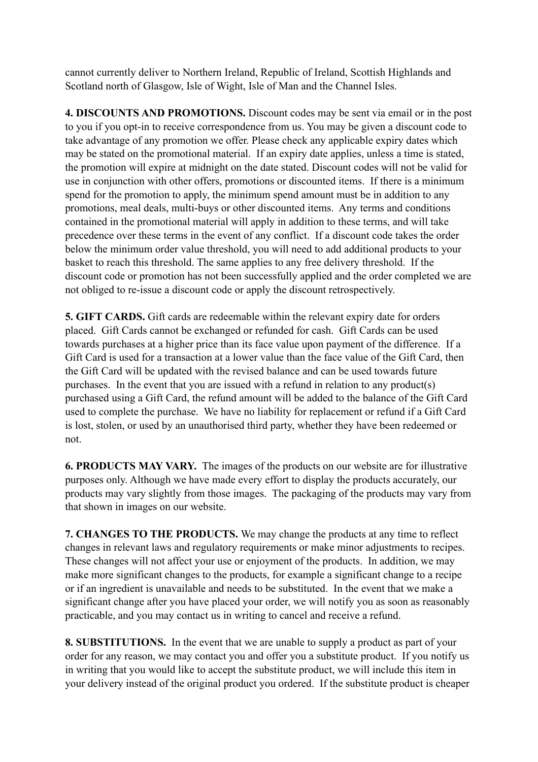cannot currently deliver to Northern Ireland, Republic of Ireland, Scottish Highlands and Scotland north of Glasgow, Isle of Wight, Isle of Man and the Channel Isles.

**4. DISCOUNTS AND PROMOTIONS.** Discount codes may be sent via email or in the post to you if you opt-in to receive correspondence from us. You may be given a discount code to take advantage of any promotion we offer. Please check any applicable expiry dates which may be stated on the promotional material. If an expiry date applies, unless a time is stated, the promotion will expire at midnight on the date stated. Discount codes will not be valid for use in conjunction with other offers, promotions or discounted items. If there is a minimum spend for the promotion to apply, the minimum spend amount must be in addition to any promotions, meal deals, multi-buys or other discounted items. Any terms and conditions contained in the promotional material will apply in addition to these terms, and will take precedence over these terms in the event of any conflict. If a discount code takes the order below the minimum order value threshold, you will need to add additional products to your basket to reach this threshold. The same applies to any free delivery threshold. If the discount code or promotion has not been successfully applied and the order completed we are not obliged to re-issue a discount code or apply the discount retrospectively.

**5. GIFT CARDS.** Gift cards are redeemable within the relevant expiry date for orders placed. Gift Cards cannot be exchanged or refunded for cash. Gift Cards can be used towards purchases at a higher price than its face value upon payment of the difference. If a Gift Card is used for a transaction at a lower value than the face value of the Gift Card, then the Gift Card will be updated with the revised balance and can be used towards future purchases. In the event that you are issued with a refund in relation to any product(s) purchased using a Gift Card, the refund amount will be added to the balance of the Gift Card used to complete the purchase. We have no liability for replacement or refund if a Gift Card is lost, stolen, or used by an unauthorised third party, whether they have been redeemed or not.

**6. PRODUCTS MAY VARY.** The images of the products on our website are for illustrative purposes only. Although we have made every effort to display the products accurately, our products may vary slightly from those images. The packaging of the products may vary from that shown in images on our website.

**7. CHANGES TO THE PRODUCTS.** We may change the products at any time to reflect changes in relevant laws and regulatory requirements or make minor adjustments to recipes. These changes will not affect your use or enjoyment of the products. In addition, we may make more significant changes to the products, for example a significant change to a recipe or if an ingredient is unavailable and needs to be substituted. In the event that we make a significant change after you have placed your order, we will notify you as soon as reasonably practicable, and you may contact us in writing to cancel and receive a refund.

**8. SUBSTITUTIONS.** In the event that we are unable to supply a product as part of your order for any reason, we may contact you and offer you a substitute product. If you notify us in writing that you would like to accept the substitute product, we will include this item in your delivery instead of the original product you ordered. If the substitute product is cheaper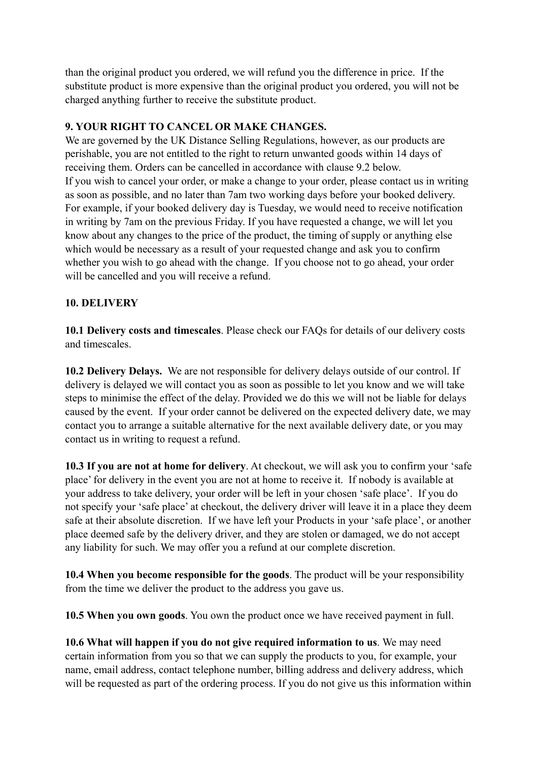than the original product you ordered, we will refund you the difference in price. If the substitute product is more expensive than the original product you ordered, you will not be charged anything further to receive the substitute product.

#### **9. YOUR RIGHT TO CANCEL OR MAKE CHANGES.**

We are governed by the UK Distance Selling Regulations, however, as our products are perishable, you are not entitled to the right to return unwanted goods within 14 days of receiving them. Orders can be cancelled in accordance with clause 9.2 below. If you wish to cancel your order, or make a change to your order, please contact us in writing as soon as possible, and no later than 7am two working days before your booked delivery. For example, if your booked delivery day is Tuesday, we would need to receive notification in writing by 7am on the previous Friday. If you have requested a change, we will let you know about any changes to the price of the product, the timing of supply or anything else which would be necessary as a result of your requested change and ask you to confirm whether you wish to go ahead with the change. If you choose not to go ahead, your order will be cancelled and you will receive a refund.

#### **10. DELIVERY**

**10.1 Delivery costs and timescales**. Please check our FAQs for details of our delivery costs and timescales.

**10.2 Delivery Delays.** We are not responsible for delivery delays outside of our control. If delivery is delayed we will contact you as soon as possible to let you know and we will take steps to minimise the effect of the delay. Provided we do this we will not be liable for delays caused by the event. If your order cannot be delivered on the expected delivery date, we may contact you to arrange a suitable alternative for the next available delivery date, or you may contact us in writing to request a refund.

**10.3 If you are not at home for delivery**. At checkout, we will ask you to confirm your 'safe place' for delivery in the event you are not at home to receive it. If nobody is available at your address to take delivery, your order will be left in your chosen 'safe place'. If you do not specify your 'safe place' at checkout, the delivery driver will leave it in a place they deem safe at their absolute discretion. If we have left your Products in your 'safe place', or another place deemed safe by the delivery driver, and they are stolen or damaged, we do not accept any liability for such. We may offer you a refund at our complete discretion.

**10.4 When you become responsible for the goods**. The product will be your responsibility from the time we deliver the product to the address you gave us.

**10.5 When you own goods**. You own the product once we have received payment in full.

**10.6 What will happen if you do not give required information to us**. We may need certain information from you so that we can supply the products to you, for example, your name, email address, contact telephone number, billing address and delivery address, which will be requested as part of the ordering process. If you do not give us this information within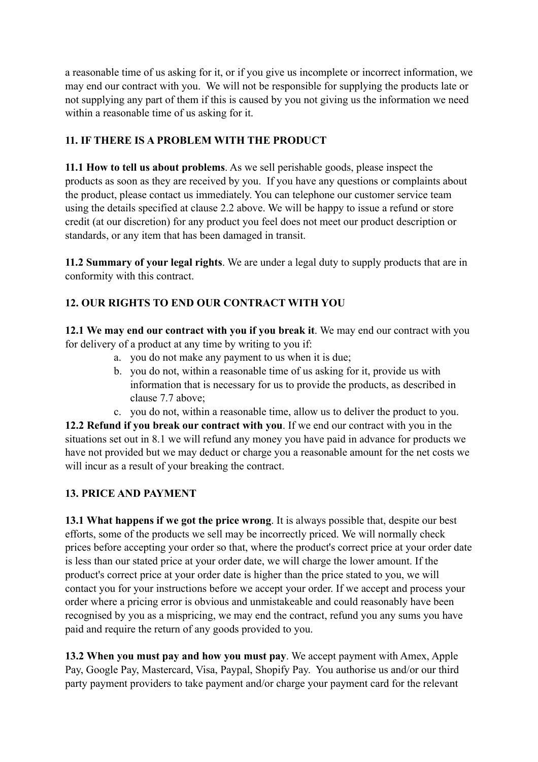a reasonable time of us asking for it, or if you give us incomplete or incorrect information, we may end our contract with you. We will not be responsible for supplying the products late or not supplying any part of them if this is caused by you not giving us the information we need within a reasonable time of us asking for it.

# **11. IF THERE IS A PROBLEM WITH THE PRODUCT**

**11.1 How to tell us about problems**. As we sell perishable goods, please inspect the products as soon as they are received by you. If you have any questions or complaints about the product, please contact us immediately. You can telephone our customer service team using the details specified at clause 2.2 above. We will be happy to issue a refund or store credit (at our discretion) for any product you feel does not meet our product description or standards, or any item that has been damaged in transit.

**11.2 Summary of your legal rights**. We are under a legal duty to supply products that are in conformity with this contract.

# **12. OUR RIGHTS TO END OUR CONTRACT WITH YOU**

**12.1 We may end our contract with you if you break it**. We may end our contract with you for delivery of a product at any time by writing to you if:

- a. you do not make any payment to us when it is due;
- b. you do not, within a reasonable time of us asking for it, provide us with information that is necessary for us to provide the products, as described in clause 7.7 above;
- c. you do not, within a reasonable time, allow us to deliver the product to you.

**12.2 Refund if you break our contract with you**. If we end our contract with you in the situations set out in 8.1 we will refund any money you have paid in advance for products we have not provided but we may deduct or charge you a reasonable amount for the net costs we will incur as a result of your breaking the contract.

## **13. PRICE AND PAYMENT**

**13.1 What happens if we got the price wrong**. It is always possible that, despite our best efforts, some of the products we sell may be incorrectly priced. We will normally check prices before accepting your order so that, where the product's correct price at your order date is less than our stated price at your order date, we will charge the lower amount. If the product's correct price at your order date is higher than the price stated to you, we will contact you for your instructions before we accept your order. If we accept and process your order where a pricing error is obvious and unmistakeable and could reasonably have been recognised by you as a mispricing, we may end the contract, refund you any sums you have paid and require the return of any goods provided to you.

**13.2 When you must pay and how you must pay**. We accept payment with Amex, Apple Pay, Google Pay, Mastercard, Visa, Paypal, Shopify Pay. You authorise us and/or our third party payment providers to take payment and/or charge your payment card for the relevant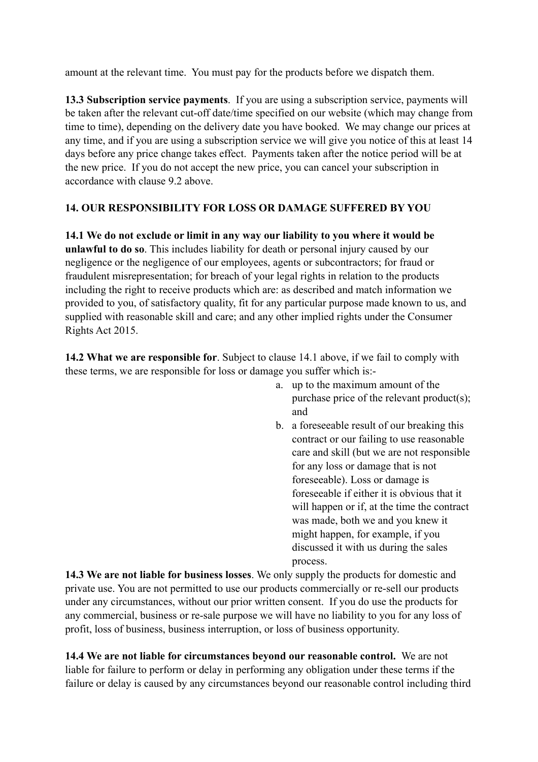amount at the relevant time. You must pay for the products before we dispatch them.

**13.3 Subscription service payments**. If you are using a subscription service, payments will be taken after the relevant cut-off date/time specified on our website (which may change from time to time), depending on the delivery date you have booked. We may change our prices at any time, and if you are using a subscription service we will give you notice of this at least 14 days before any price change takes effect. Payments taken after the notice period will be at the new price. If you do not accept the new price, you can cancel your subscription in accordance with clause 9.2 above.

# **14. OUR RESPONSIBILITY FOR LOSS OR DAMAGE SUFFERED BY YOU**

**14.1 We do not exclude or limit in any way our liability to you where it would be unlawful to do so**. This includes liability for death or personal injury caused by our negligence or the negligence of our employees, agents or subcontractors; for fraud or fraudulent misrepresentation; for breach of your legal rights in relation to the products including the right to receive products which are: as described and match information we provided to you, of satisfactory quality, fit for any particular purpose made known to us, and supplied with reasonable skill and care; and any other implied rights under the Consumer Rights Act 2015.

**14.2 What we are responsible for**. Subject to clause 14.1 above, if we fail to comply with these terms, we are responsible for loss or damage you suffer which is:-

- a. up to the maximum amount of the purchase price of the relevant product(s); and
- b. a foreseeable result of our breaking this contract or our failing to use reasonable care and skill (but we are not responsible for any loss or damage that is not foreseeable). Loss or damage is foreseeable if either it is obvious that it will happen or if, at the time the contract was made, both we and you knew it might happen, for example, if you discussed it with us during the sales process.

**14.3 We are not liable for business losses**. We only supply the products for domestic and private use. You are not permitted to use our products commercially or re-sell our products under any circumstances, without our prior written consent. If you do use the products for any commercial, business or re-sale purpose we will have no liability to you for any loss of profit, loss of business, business interruption, or loss of business opportunity.

**14.4 We are not liable for circumstances beyond our reasonable control.** We are not liable for failure to perform or delay in performing any obligation under these terms if the failure or delay is caused by any circumstances beyond our reasonable control including third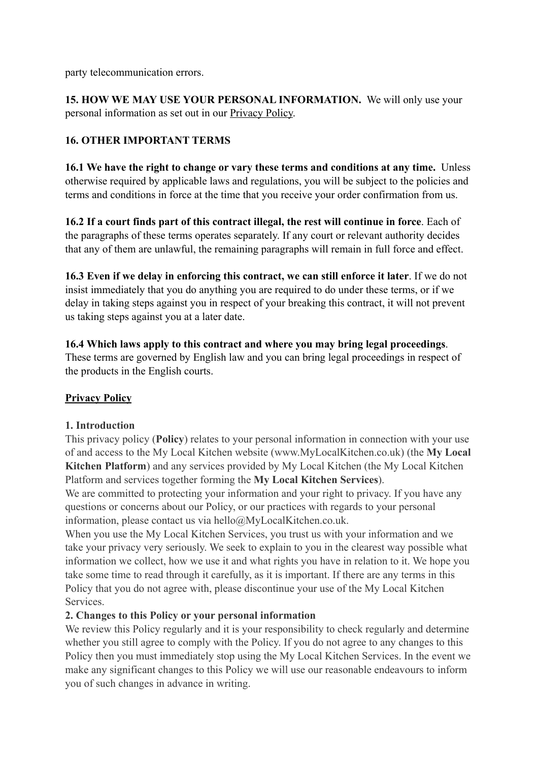party telecommunication errors.

**15. HOW WE MAY USE YOUR PERSONAL INFORMATION.** We will only use your personal information as set out in our [Privacy Policy.](http://www.potage.co.uk/pages/potage-privacy-policy)

# **16. OTHER IMPORTANT TERMS**

**16.1 We have the right to change or vary these terms and conditions at any time.** Unless otherwise required by applicable laws and regulations, you will be subject to the policies and terms and conditions in force at the time that you receive your order confirmation from us.

**16.2 If a court finds part of this contract illegal, the rest will continue in force**. Each of the paragraphs of these terms operates separately. If any court or relevant authority decides that any of them are unlawful, the remaining paragraphs will remain in full force and effect.

**16.3 Even if we delay in enforcing this contract, we can still enforce it later**. If we do not insist immediately that you do anything you are required to do under these terms, or if we delay in taking steps against you in respect of your breaking this contract, it will not prevent us taking steps against you at a later date.

#### **16.4 Which laws apply to this contract and where you may bring legal proceedings**. These terms are governed by English law and you can bring legal proceedings in respect of the products in the English courts.

## **Privacy Policy**

#### **1. Introduction**

This privacy policy (**Policy**) relates to your personal information in connection with your use of and access to the My Local Kitchen website (www.MyLocalKitchen.co.uk) (the **My Local Kitchen Platform**) and any services provided by My Local Kitchen (the My Local Kitchen Platform and services together forming the **My Local Kitchen Services**).

We are committed to protecting your information and your right to privacy. If you have any questions or concerns about our Policy, or our practices with regards to your personal information, please contact us via hello@MyLocalKitchen.co.uk.

When you use the My Local Kitchen Services, you trust us with your information and we take your privacy very seriously. We seek to explain to you in the clearest way possible what information we collect, how we use it and what rights you have in relation to it. We hope you take some time to read through it carefully, as it is important. If there are any terms in this Policy that you do not agree with, please discontinue your use of the My Local Kitchen **Services** 

#### **2. Changes to this Policy or your personal information**

We review this Policy regularly and it is your responsibility to check regularly and determine whether you still agree to comply with the Policy. If you do not agree to any changes to this Policy then you must immediately stop using the My Local Kitchen Services. In the event we make any significant changes to this Policy we will use our reasonable endeavours to inform you of such changes in advance in writing.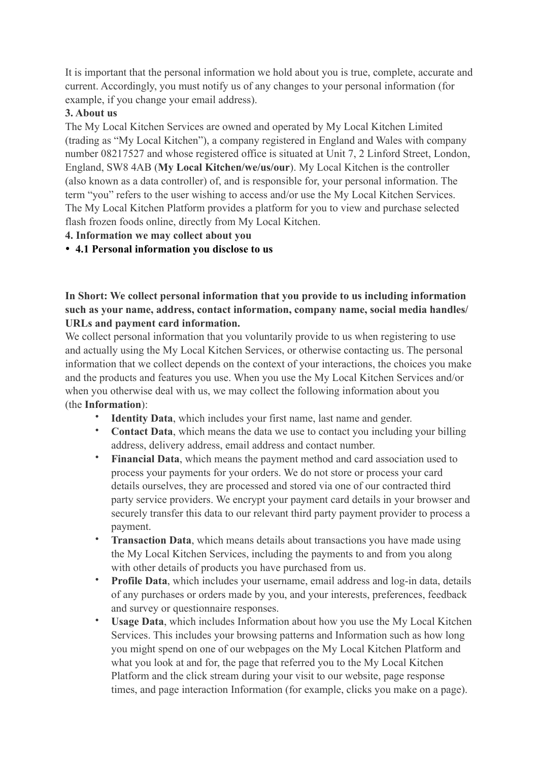It is important that the personal information we hold about you is true, complete, accurate and current. Accordingly, you must notify us of any changes to your personal information (for example, if you change your email address).

## **3. About us**

The My Local Kitchen Services are owned and operated by My Local Kitchen Limited (trading as "My Local Kitchen"), a company registered in England and Wales with company number 08217527 and whose registered office is situated at Unit 7, 2 Linford Street, London, England, SW8 4AB (**My Local Kitchen/we/us/our**). My Local Kitchen is the controller (also known as a data controller) of, and is responsible for, your personal information. The term "you" refers to the user wishing to access and/or use the My Local Kitchen Services. The My Local Kitchen Platform provides a platform for you to view and purchase selected flash frozen foods online, directly from My Local Kitchen.

# **4. Information we may collect about you**

• **4.1 Personal information you disclose to us**

**In Short: We collect personal information that you provide to us including information such as your name, address, contact information, company name, social media handles/ URLs and payment card information.** 

We collect personal information that you voluntarily provide to us when registering to use and actually using the My Local Kitchen Services, or otherwise contacting us. The personal information that we collect depends on the context of your interactions, the choices you make and the products and features you use. When you use the My Local Kitchen Services and/or when you otherwise deal with us, we may collect the following information about you (the **Information**):

- **Identity Data**, which includes your first name, last name and gender.
- **Contact Data**, which means the data we use to contact you including your billing address, delivery address, email address and contact number.
- **Financial Data**, which means the payment method and card association used to process your payments for your orders. We do not store or process your card details ourselves, they are processed and stored via one of our contracted third party service providers. We encrypt your payment card details in your browser and securely transfer this data to our relevant third party payment provider to process a payment.
- **Transaction Data**, which means details about transactions you have made using the My Local Kitchen Services, including the payments to and from you along with other details of products you have purchased from us.
- **Profile Data**, which includes your username, email address and log-in data, details of any purchases or orders made by you, and your interests, preferences, feedback and survey or questionnaire responses.
- **Usage Data**, which includes Information about how you use the My Local Kitchen Services. This includes your browsing patterns and Information such as how long you might spend on one of our webpages on the My Local Kitchen Platform and what you look at and for, the page that referred you to the My Local Kitchen Platform and the click stream during your visit to our website, page response times, and page interaction Information (for example, clicks you make on a page).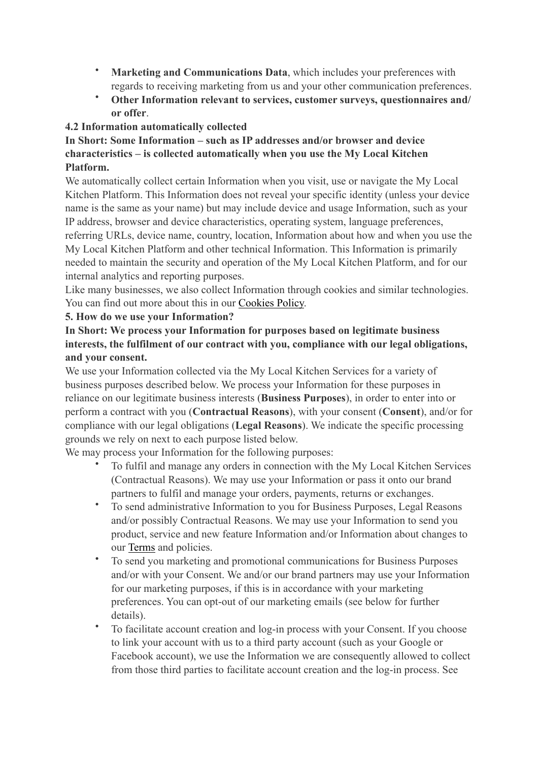- **Marketing and Communications Data**, which includes your preferences with regards to receiving marketing from us and your other communication preferences.
- **Other Information relevant to services, customer surveys, questionnaires and/ or offer**.

## **4.2 Information automatically collected**

## **In Short: Some Information – such as IP addresses and/or browser and device characteristics – is collected automatically when you use the My Local Kitchen Platform.**

We automatically collect certain Information when you visit, use or navigate the My Local Kitchen Platform. This Information does not reveal your specific identity (unless your device name is the same as your name) but may include device and usage Information, such as your IP address, browser and device characteristics, operating system, language preferences, referring URLs, device name, country, location, Information about how and when you use the My Local Kitchen Platform and other technical Information. This Information is primarily needed to maintain the security and operation of the My Local Kitchen Platform, and for our internal analytics and reporting purposes.

Like many businesses, we also collect Information through cookies and similar technologies. You can find out more about this in our [Cookies Policy.](https://www.potage.co.uk/pages/potage-cookie-policy)

## **5. How do we use your Information?**

# **In Short: We process your Information for purposes based on legitimate business interests, the fulfilment of our contract with you, compliance with our legal obligations, and your consent.**

We use your Information collected via the My Local Kitchen Services for a variety of business purposes described below. We process your Information for these purposes in reliance on our legitimate business interests (**Business Purposes**), in order to enter into or perform a contract with you (**Contractual Reasons**), with your consent (**Consent**), and/or for compliance with our legal obligations (**Legal Reasons**). We indicate the specific processing grounds we rely on next to each purpose listed below.

We may process your Information for the following purposes:

- To fulfil and manage any orders in connection with the My Local Kitchen Services (Contractual Reasons). We may use your Information or pass it onto our brand partners to fulfil and manage your orders, payments, returns or exchanges.
- To send administrative Information to you for Business Purposes, Legal Reasons and/or possibly Contractual Reasons. We may use your Information to send you product, service and new feature Information and/or Information about changes to our [Terms](https://www.potage.co.uk/pages/our-terms-and-conditions) and policies.
- To send you marketing and promotional communications for Business Purposes and/or with your Consent. We and/or our brand partners may use your Information for our marketing purposes, if this is in accordance with your marketing preferences. You can opt-out of our marketing emails (see below for further details).
- To facilitate account creation and log-in process with your Consent. If you choose to link your account with us to a third party account (such as your Google or Facebook account), we use the Information we are consequently allowed to collect from those third parties to facilitate account creation and the log-in process. See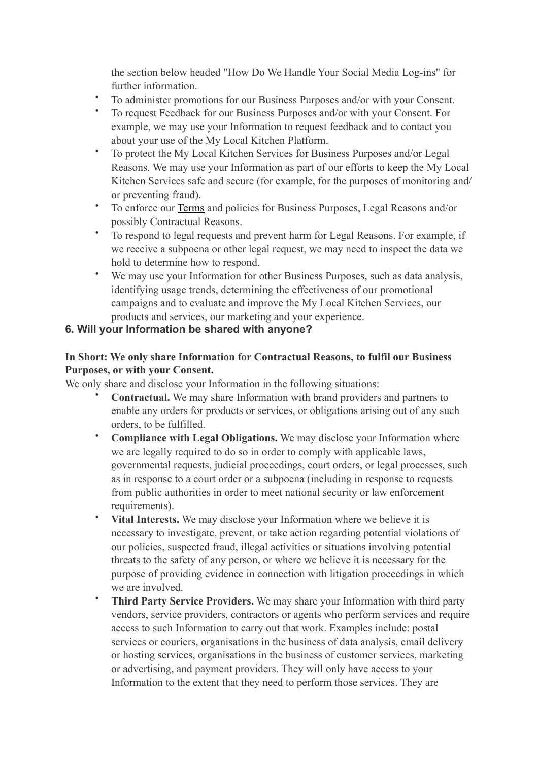the section below headed "How Do We Handle Your Social Media Log-ins" for further information.

- To administer promotions for our Business Purposes and/or with your Consent.
- To request Feedback for our Business Purposes and/or with your Consent. For example, we may use your Information to request feedback and to contact you about your use of the My Local Kitchen Platform.
- To protect the My Local Kitchen Services for Business Purposes and/or Legal Reasons. We may use your Information as part of our efforts to keep the My Local Kitchen Services safe and secure (for example, for the purposes of monitoring and/ or preventing fraud).
- To enforce our [Terms](https://www.potage.co.uk/pages/our-terms-and-conditions) and policies for Business Purposes, Legal Reasons and/or possibly Contractual Reasons.
- To respond to legal requests and prevent harm for Legal Reasons. For example, if we receive a subpoena or other legal request, we may need to inspect the data we hold to determine how to respond.
- We may use your Information for other Business Purposes, such as data analysis, identifying usage trends, determining the effectiveness of our promotional campaigns and to evaluate and improve the My Local Kitchen Services, our products and services, our marketing and your experience.

# **6. Will your Information be shared with anyone?**

## **In Short: We only share Information for Contractual Reasons, to fulfil our Business Purposes, or with your Consent.**

We only share and disclose your Information in the following situations:

- **Contractual.** We may share Information with brand providers and partners to enable any orders for products or services, or obligations arising out of any such orders, to be fulfilled.
- **Compliance with Legal Obligations.** We may disclose your Information where we are legally required to do so in order to comply with applicable laws, governmental requests, judicial proceedings, court orders, or legal processes, such as in response to a court order or a subpoena (including in response to requests from public authorities in order to meet national security or law enforcement requirements).
- **Vital Interests.** We may disclose your Information where we believe it is necessary to investigate, prevent, or take action regarding potential violations of our policies, suspected fraud, illegal activities or situations involving potential threats to the safety of any person, or where we believe it is necessary for the purpose of providing evidence in connection with litigation proceedings in which we are involved.
- **Third Party Service Providers.** We may share your Information with third party vendors, service providers, contractors or agents who perform services and require access to such Information to carry out that work. Examples include: postal services or couriers, organisations in the business of data analysis, email delivery or hosting services, organisations in the business of customer services, marketing or advertising, and payment providers. They will only have access to your Information to the extent that they need to perform those services. They are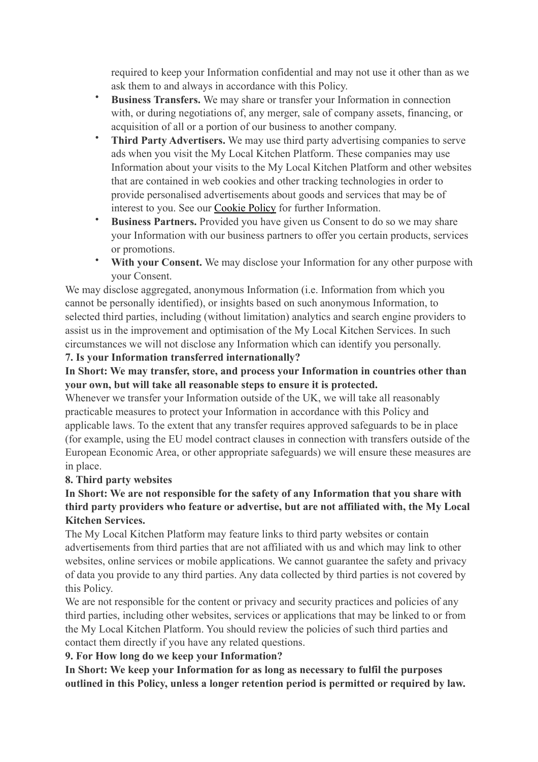required to keep your Information confidential and may not use it other than as we ask them to and always in accordance with this Policy.

- **Business Transfers.** We may share or transfer your Information in connection with, or during negotiations of, any merger, sale of company assets, financing, or acquisition of all or a portion of our business to another company.
- **Third Party Advertisers.** We may use third party advertising companies to serve ads when you visit the My Local Kitchen Platform. These companies may use Information about your visits to the My Local Kitchen Platform and other websites that are contained in web cookies and other tracking technologies in order to provide personalised advertisements about goods and services that may be of interest to you. See our [Cookie Policy](https://www.potage.co.uk/pages/potage-cookie-policy) for further Information.
- **Business Partners.** Provided you have given us Consent to do so we may share your Information with our business partners to offer you certain products, services or promotions.
- **With your Consent.** We may disclose your Information for any other purpose with your Consent.

We may disclose aggregated, anonymous Information (i.e. Information from which you cannot be personally identified), or insights based on such anonymous Information, to selected third parties, including (without limitation) analytics and search engine providers to assist us in the improvement and optimisation of the My Local Kitchen Services. In such circumstances we will not disclose any Information which can identify you personally.

## **7. Is your Information transferred internationally?**

## **In Short: We may transfer, store, and process your Information in countries other than your own, but will take all reasonable steps to ensure it is protected.**

Whenever we transfer your Information outside of the UK, we will take all reasonably practicable measures to protect your Information in accordance with this Policy and applicable laws. To the extent that any transfer requires approved safeguards to be in place (for example, using the EU model contract clauses in connection with transfers outside of the European Economic Area, or other appropriate safeguards) we will ensure these measures are in place.

#### **8. Third party websites**

# **In Short: We are not responsible for the safety of any Information that you share with third party providers who feature or advertise, but are not affiliated with, the My Local Kitchen Services.**

The My Local Kitchen Platform may feature links to third party websites or contain advertisements from third parties that are not affiliated with us and which may link to other websites, online services or mobile applications. We cannot guarantee the safety and privacy of data you provide to any third parties. Any data collected by third parties is not covered by this Policy.

We are not responsible for the content or privacy and security practices and policies of any third parties, including other websites, services or applications that may be linked to or from the My Local Kitchen Platform. You should review the policies of such third parties and contact them directly if you have any related questions.

## **9. For How long do we keep your Information?**

**In Short: We keep your Information for as long as necessary to fulfil the purposes outlined in this Policy, unless a longer retention period is permitted or required by law.**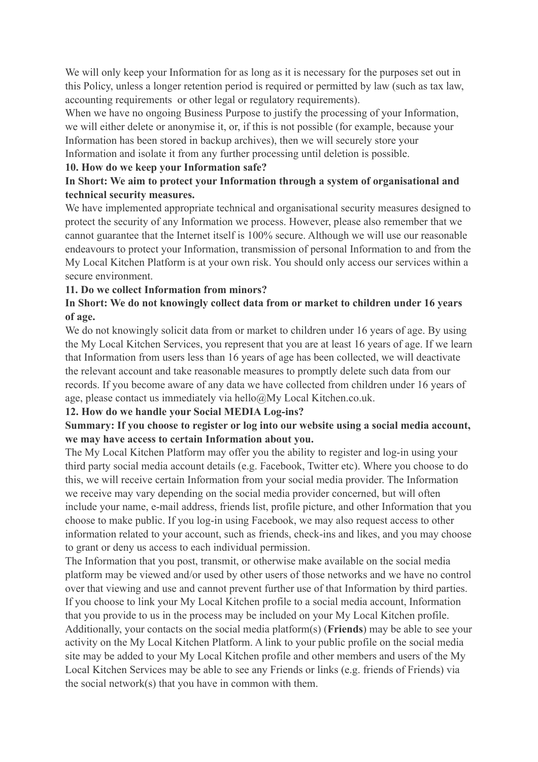We will only keep your Information for as long as it is necessary for the purposes set out in this Policy, unless a longer retention period is required or permitted by law (such as tax law, accounting requirements or other legal or regulatory requirements).

When we have no ongoing Business Purpose to justify the processing of your Information, we will either delete or anonymise it, or, if this is not possible (for example, because your Information has been stored in backup archives), then we will securely store your Information and isolate it from any further processing until deletion is possible.

#### **10. How do we keep your Information safe?**

## **In Short: We aim to protect your Information through a system of organisational and technical security measures.**

We have implemented appropriate technical and organisational security measures designed to protect the security of any Information we process. However, please also remember that we cannot guarantee that the Internet itself is 100% secure. Although we will use our reasonable endeavours to protect your Information, transmission of personal Information to and from the My Local Kitchen Platform is at your own risk. You should only access our services within a secure environment.

#### **11. Do we collect Information from minors?**

## **In Short: We do not knowingly collect data from or market to children under 16 years of age.**

We do not knowingly solicit data from or market to children under 16 years of age. By using the My Local Kitchen Services, you represent that you are at least 16 years of age. If we learn that Information from users less than 16 years of age has been collected, we will deactivate the relevant account and take reasonable measures to promptly delete such data from our records. If you become aware of any data we have collected from children under 16 years of age, please contact us immediately via hello@My Local Kitchen.co.uk.

#### **12. How do we handle your Social MEDIA Log-ins?**

## **Summary: If you choose to register or log into our website using a social media account, we may have access to certain Information about you.**

The My Local Kitchen Platform may offer you the ability to register and log-in using your third party social media account details (e.g. Facebook, Twitter etc). Where you choose to do this, we will receive certain Information from your social media provider. The Information we receive may vary depending on the social media provider concerned, but will often include your name, e-mail address, friends list, profile picture, and other Information that you choose to make public. If you log-in using Facebook, we may also request access to other information related to your account, such as friends, check-ins and likes, and you may choose to grant or deny us access to each individual permission.

The Information that you post, transmit, or otherwise make available on the social media platform may be viewed and/or used by other users of those networks and we have no control over that viewing and use and cannot prevent further use of that Information by third parties. If you choose to link your My Local Kitchen profile to a social media account, Information that you provide to us in the process may be included on your My Local Kitchen profile. Additionally, your contacts on the social media platform(s) (**Friends**) may be able to see your activity on the My Local Kitchen Platform. A link to your public profile on the social media site may be added to your My Local Kitchen profile and other members and users of the My Local Kitchen Services may be able to see any Friends or links (e.g. friends of Friends) via the social network(s) that you have in common with them.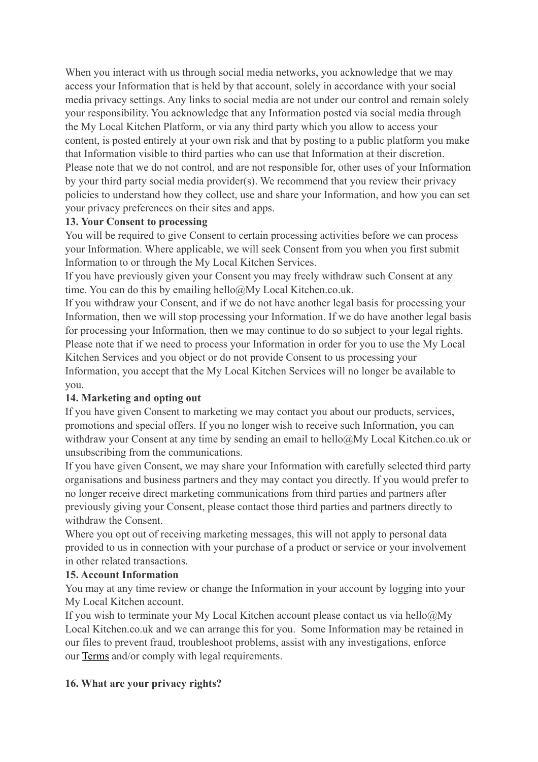When you interact with us through social media networks, you acknowledge that we may access your Information that is held by that account, solely in accordance with your social media privacy settings. Any links to social media are not under our control and remain solely your responsibility. You acknowledge that any Information posted via social media through the My Local Kitchen Platform, or via any third party which you allow to access your content, is posted entirely at your own risk and that by posting to a public platform you make that Information visible to third parties who can use that Information at their discretion. Please note that we do not control, and are not responsible for, other uses of your Information by your third party social media provider(s). We recommend that you review their privacy policies to understand how they collect, use and share your Information, and how you can set your privacy preferences on their sites and apps.

## **13. Your Consent to processing**

You will be required to give Consent to certain processing activities before we can process your Information. Where applicable, we will seek Consent from you when you first submit Information to or through the My Local Kitchen Services.

If you have previously given your Consent you may freely withdraw such Consent at any time. You can do this by emailing hello@My Local Kitchen.co.uk.

If you withdraw your Consent, and if we do not have another legal basis for processing your Information, then we will stop processing your Information. If we do have another legal basis for processing your Information, then we may continue to do so subject to your legal rights. Please note that if we need to process your Information in order for you to use the My Local Kitchen Services and you object or do not provide Consent to us processing your Information, you accept that the My Local Kitchen Services will no longer be available to you.

## **14. Marketing and opting out**

If you have given Consent to marketing we may contact you about our products, services, promotions and special offers. If you no longer wish to receive such Information, you can withdraw your Consent at any time by sending an email to hello@My Local Kitchen.co.uk or unsubscribing from the communications.

If you have given Consent, we may share your Information with carefully selected third party organisations and business partners and they may contact you directly. If you would prefer to no longer receive direct marketing communications from third parties and partners after previously giving your Consent, please contact those third parties and partners directly to withdraw the Consent.

Where you opt out of receiving marketing messages, this will not apply to personal data provided to us in connection with your purchase of a product or service or your involvement in other related transactions.

## **15. Account Information**

You may at any time review or change the Information in your account by logging into your My Local Kitchen account.

If you wish to terminate your My Local Kitchen account please contact us via hello $@Mv$ Local Kitchen.co.uk and we can arrange this for you. Some Information may be retained in our files to prevent fraud, troubleshoot problems, assist with any investigations, enforce our [Terms](https://www.potage.co.uk/pages/our-terms-and-conditions) and/or comply with legal requirements.

## **16. What are your privacy rights?**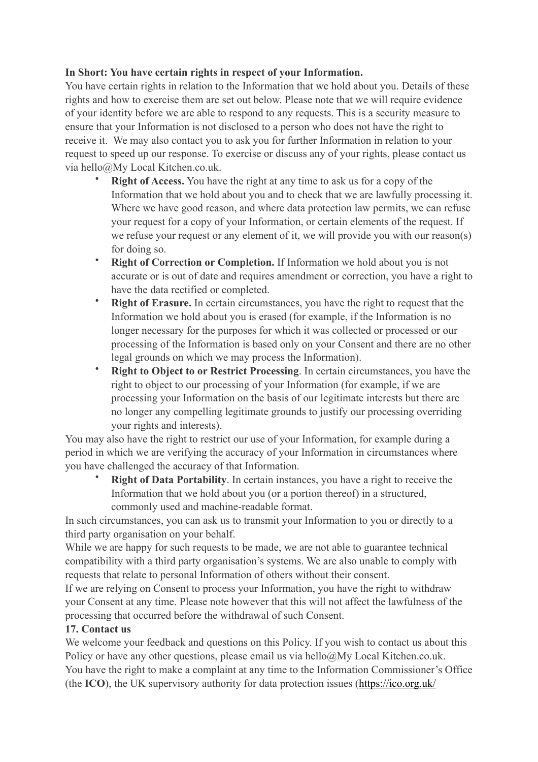## **In Short: You have certain rights in respect of your Information.**

You have certain rights in relation to the Information that we hold about you. Details of these rights and how to exercise them are set out below. Please note that we will require evidence of your identity before we are able to respond to any requests. This is a security measure to ensure that your Information is not disclosed to a person who does not have the right to receive it. We may also contact you to ask you for further Information in relation to your request to speed up our response. To exercise or discuss any of your rights, please contact us via hello@My Local Kitchen.co.uk.

- **Right of Access.** You have the right at any time to ask us for a copy of the Information that we hold about you and to check that we are lawfully processing it. Where we have good reason, and where data protection law permits, we can refuse your request for a copy of your Information, or certain elements of the request. If we refuse your request or any element of it, we will provide you with our reason(s) for doing so.
- **Right of Correction or Completion.** If Information we hold about you is not accurate or is out of date and requires amendment or correction, you have a right to have the data rectified or completed.
- **Right of Erasure.** In certain circumstances, you have the right to request that the Information we hold about you is erased (for example, if the Information is no longer necessary for the purposes for which it was collected or processed or our processing of the Information is based only on your Consent and there are no other legal grounds on which we may process the Information).
- **Right to Object to or Restrict Processing**. In certain circumstances, you have the right to object to our processing of your Information (for example, if we are processing your Information on the basis of our legitimate interests but there are no longer any compelling legitimate grounds to justify our processing overriding your rights and interests).

You may also have the right to restrict our use of your Information, for example during a period in which we are verifying the accuracy of your Information in circumstances where you have challenged the accuracy of that Information.

• **Right of Data Portability**. In certain instances, you have a right to receive the Information that we hold about you (or a portion thereof) in a structured, commonly used and machine-readable format.

In such circumstances, you can ask us to transmit your Information to you or directly to a third party organisation on your behalf.

While we are happy for such requests to be made, we are not able to guarantee technical compatibility with a third party organisation's systems. We are also unable to comply with requests that relate to personal Information of others without their consent.

If we are relying on Consent to process your Information, you have the right to withdraw your Consent at any time. Please note however that this will not affect the lawfulness of the processing that occurred before the withdrawal of such Consent.

#### **17. Contact us**

We welcome your feedback and questions on this Policy. If you wish to contact us about this Policy or have any other questions, please email us via hello@My Local Kitchen.co.uk. You have the right to make a complaint at any time to the Information Commissioner's Office (the **ICO**), the UK supervisory authority for data protection issues ([https://ico.org.uk/](https://ico.org.uk/concerns/)